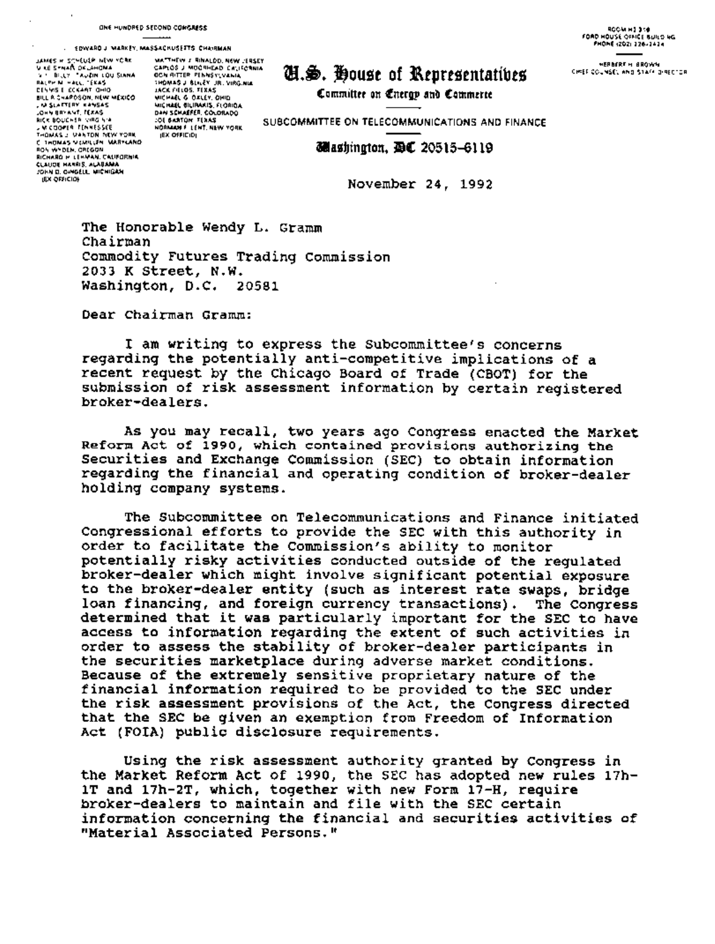## . EDWARD J MARKEY, MASSACRUSETTS CHANNAN

**UNES HISTMELLE NEW YORK**<br>VIKE SPNAN OCLAHOMA<br>VIKE BELLY TAVAIN LOU<br>BALPEN HALL TEKAS<br>BALPEN HALL TEKAS<br>DELYSE ECKART QHIO **ERNESE ECCAPT UNIX MEXICO<br>
SILE CARPOSON MENTERS<br>
COMMERCAPT ERNES<br>
COMMERCAPT ERNES<br>
RICK BOUCHER VIRG VA<br>
A COUPER TEMPESSEE** THOMAS J VANTON NEW YORK ROS WYDEN, CREGON RICHARD M LEHMAN, CAUFORNIA JOHN D. CHIGELL MICHIGAN **JEX OFFICION** 

 $\lambda$ 

MATTHEW J RINALDD, NEW JERSEY<br>GAPLOS J MOGRHEAD CALIFORNIA **OCN RITTER PENNSYLVANIA** THOMAS J. BLILEY, JR. VIRG.NIA JACK FIELDS, TEXAS JACK FIELDS, TEXAS<br>MICHAEL & DALEY, DHID<br>DAN SEMAEL BILIRANIS, FLORIDA<br>DAN SEMAEFER, COLORADO<br>COE BARTON, TEXAS<br>MORMAN F. LENT, NEW YORK **JEX OFFICIDI** 

## C.S. House of Representatives

Committee on Energy and Commerte

**ROOM HIJ 318**<br>FOAD HOUSE OFFICE RUILS NG FHOME 12021 126-1414

**HERBERT HI BROWN** CHIEF COUNSEL AND STATE DIRECTOR

SUBCOMMITTEE ON TELECOMMUNICATIONS AND FINANCE

## *<u>Jelashington, DE 20515-6119</u>*

November 24, 1992

The Honorable Wendy L. Gramm Chairman Commodity Futures Trading Commission 2033 K Street, N.W. Washington, D.C. 20581

Dear Chairman Gramm:

I am writing to express the Subcommittee's concerns regarding the potentially anti-competitive implications of a recent request by the Chicago Board of Trade (CBOT) for the submission of risk assessment information by certain registered broker-dealers.

As you may recall, two years ago Congress enacted the Market Reform Act of 1990, which contained provisions authorizing the Securities and Exchange Commission (SEC) to obtain information regarding the financial and operating condition of broker-dealer holding company systems.

The Subcommittee on Telecommunications and Finance initiated Congressional efforts to provide the SEC with this authority in order to facilitate the Commission's ability to monitor potentially risky activities conducted outside of the requlated broker-dealer which might involve significant potential exposure to the broker-dealer entity (such as interest rate swaps, bridge loan financing, and foreign currency transactions). The Congress determined that it was particularly important for the SEC to have access to information regarding the extent of such activities in order to assess the stability of broker-dealer participants in the securities marketplace during adverse market conditions. Because of the extremely sensitive proprietary nature of the financial information required to be provided to the SEC under the risk assessment provisions of the Act, the Congress directed that the SEC be given an exemption from Freedom of Information Act (FOIA) public disclosure requirements.

Using the risk assessment authority granted by Congress in the Market Reform Act of 1990, the SEC has adopted new rules 17h-1T and 17h-2T, which, together with new Form 17-H, require broker-dealers to maintain and file with the SEC certain information concerning the financial and securities activities of "Material Associated Persons."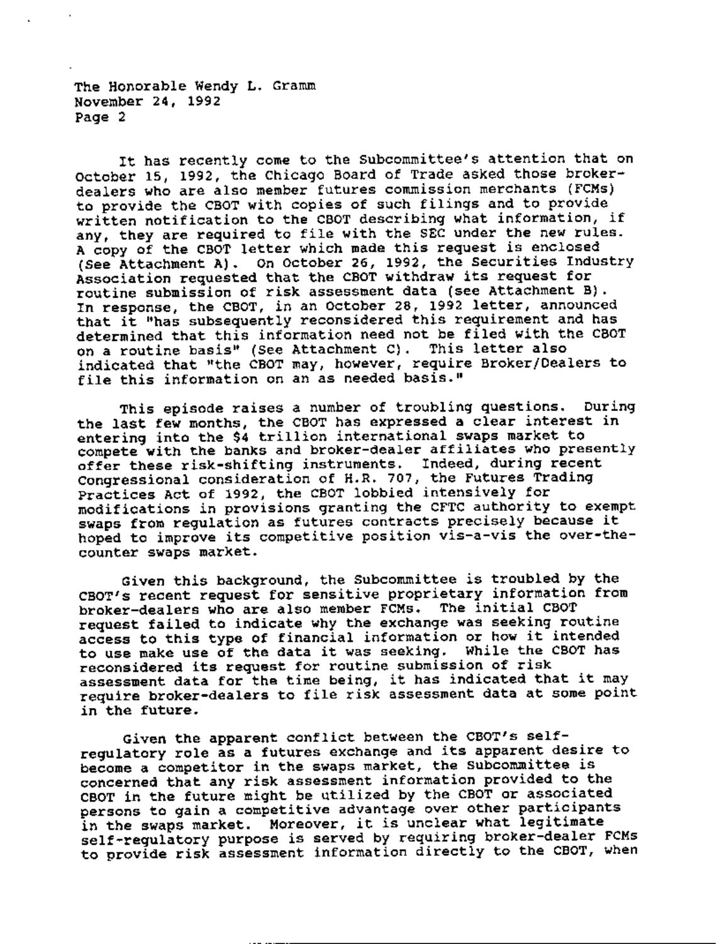The Honorable Wendy L. Gramm November 24, 1992 Page 2

It has recently come to the Subcommittee's attention that on October 15, 1992, the Chicago Board of Trade asked those brokerdealers who are also member futures commission merchants (FCMs) to provide the CBOT with copies of such filings and to provide written notification to the CBOT describing what information, if any, they are required to file with the SEC under the new rules. A copy of the CBOT letter which made this request is enclosed (See Attachment A). On October 26, 1992, the Securities Industry Association requested that the CBOT withdraw its request for routine submission of risk assessment data (see Attachment B). In response, the CBOT, in an October 28, 1992 letter, announced that it "has subsequently reconsidered this requirement and has determined that this information need not be filed with the CBOT on a routine basis" (See Attachment C). This letter also indicated that "the CBOT may, however, require Broker/Dealers to file this information on an as needed basis."

This episode raises a number of troubling questions. During the last few months, the CBOT has expressed a clear interest in entering into the \$4 trillion international swaps market to compete with the banks and broker-dealer affiliates who presently offer these risk-shifting instruments. Indeed, during recent Congressional consideration of H.R. 707, the Futures Trading Practices Act of 1992, the CBOT lobbied intensively for modifications in provisions granting the *CFTC* authority to exempt swaps from regulation as futures contracts precisely because it hoped to improve its competitive position vis-a-vis the over-thecounter swaps market.

Given this background, the Subcommittee is troubled by the CBOT's recent request for sensitive proprietary information from broker-dealers who are also member FCMs. The initial CBOT request failed to indicate why the exchange was seeking routine access to this type of financial information or how it intended to use make use of the data it was seeking. While the CBOT has reconsidered its request for routine submission of risk assessment data for the time being, it has indicated that it may require broker-dealers to file risk assessment data at some point in the future.

Given the apparent conflict between the CBOT's selfregulatory role as a futures exchange and its apparent desire to become a competitor in the swaps market, the Subcommittee is concerned that any risk assessment information provided to the CBOT in the future might be utilized by the CBOT or associated persons to gain a competitive advantage over other participants in the swaps market. Moreover, it is unclear what legitimate self-regulatory purpose is served by requiring broker-dealer FCMs to provide risk assessment information directly to the CBOT, when